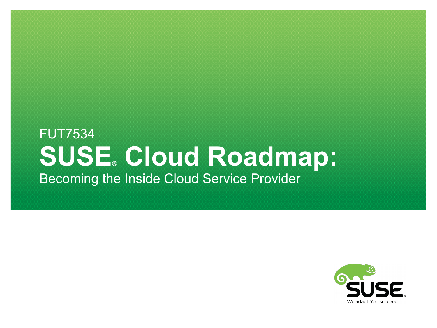#### FUT7534 **SUSE**® **Cloud Roadmap:** Becoming the Inside Cloud Service Provider

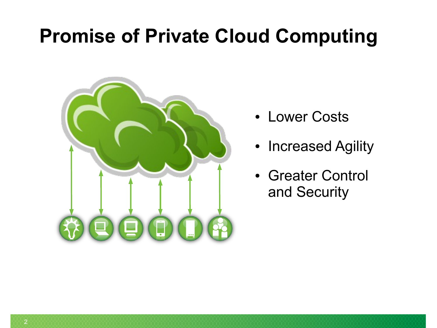# **Promise of Private Cloud Computing**



- Lower Costs
- Increased Agility
- Greater Control and Security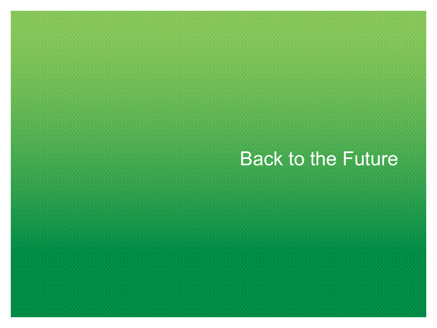# **Back to the Future**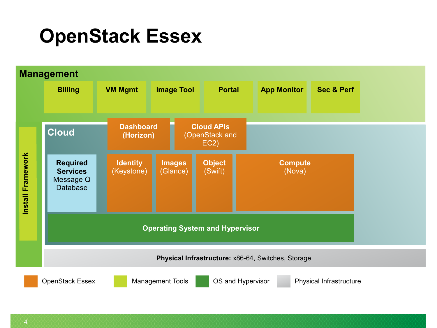#### **OpenStack Essex**

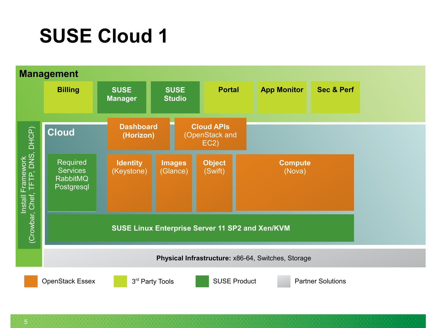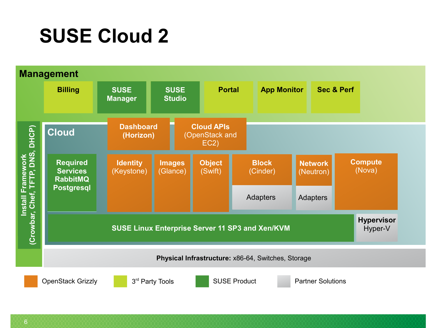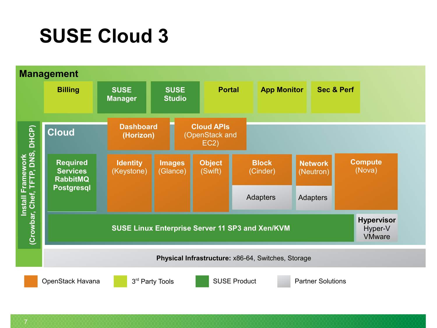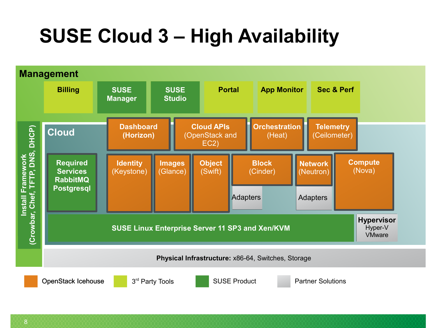# **SUSE Cloud 3 – High Availability**



OpenStack Icehouse

3rd Party Tools

**SUSE Product Partner Solutions**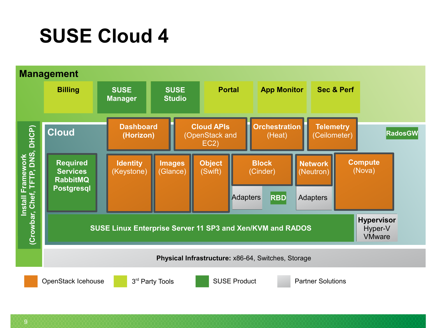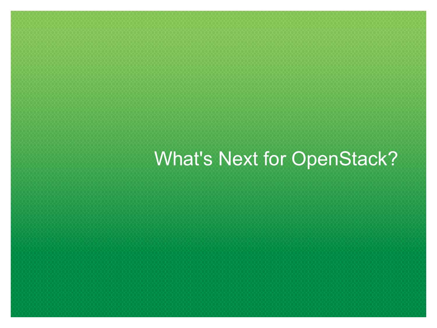# What's Next for OpenStack?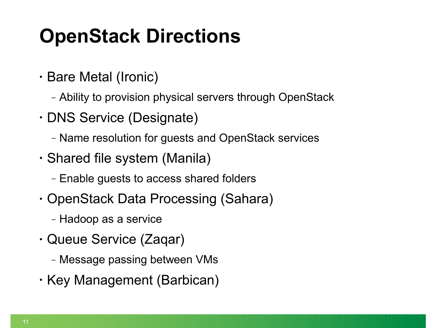# **OpenStack Directions**

- Bare Metal (Ironic)
	- ‒ Ability to provision physical servers through OpenStack
- DNS Service (Designate)
	- ‒ Name resolution for guests and OpenStack services
- Shared file system (Manila)
	- ‒ Enable guests to access shared folders
- OpenStack Data Processing (Sahara)
	- ‒ Hadoop as a service
- Queue Service (Zaqar)
	- ‒ Message passing between VMs
- Key Management (Barbican)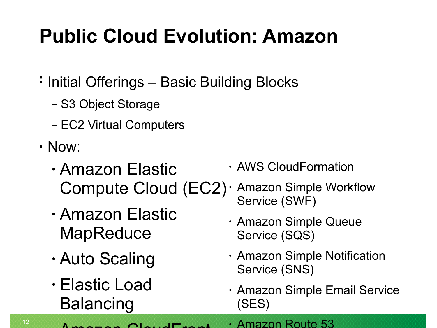# **Public Cloud Evolution: Amazon**

- • Initial Offerings Basic Building Blocks
	- ‒ S3 Object Storage
	- ‒ EC2 Virtual Computers
- Now:

12

- Amazon Elastic Compute Cloud (EC2)
- Amazon Elastic **MapReduce**
- Auto Scaling
- Elastic Load **Balancing**
- AWS CloudFormation
- Amazon Simple Workflow Service (SWF)
	- Amazon Simple Queue Service (SQS)
	- Amazon Simple Notification Service (SNS)
	- Amazon Simple Email Service (SES)

 $\Lambda$  is a main  $\Lambda$   $\Lambda$ • Amazon Route 53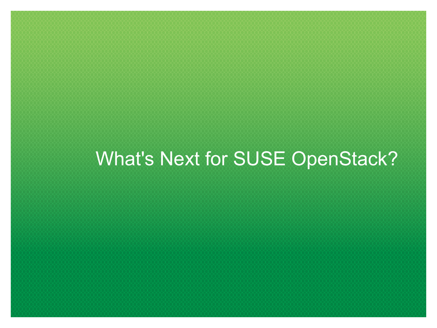# What's Next for SUSE OpenStack?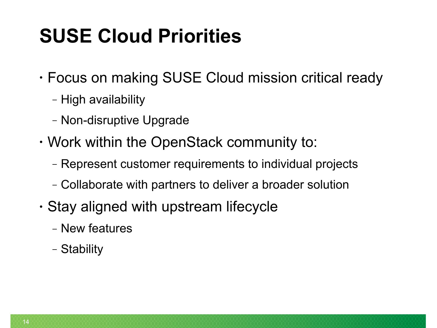# **SUSE Cloud Priorities**

- Focus on making SUSE Cloud mission critical ready
	- ‒ High availability
	- ‒ Non-disruptive Upgrade
- Work within the OpenStack community to:
	- ‒ Represent customer requirements to individual projects
	- ‒ Collaborate with partners to deliver a broader solution
- Stay aligned with upstream lifecycle
	- ‒ New features
	- ‒ Stability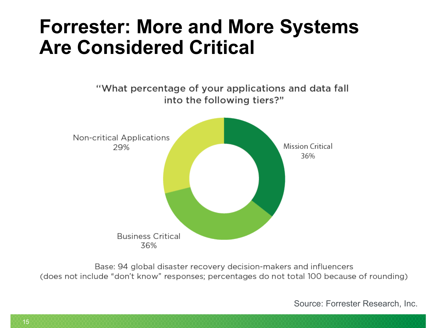#### **Forrester: More and More Systems Are Considered Critical**

"What percentage of your applications and data fall into the following tiers?" **Non-critical Applications** Mission Critical 29% 36%

> **Business Critical** 36%

Base: 94 global disaster recovery decision-makers and influencers (does not include "don't know" responses; percentages do not total 100 because of rounding)

Source: Forrester Research, Inc.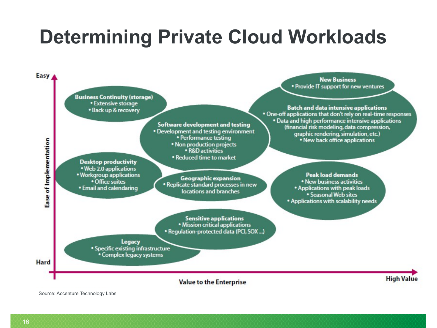# **Determining Private Cloud Workloads**



Source: Accenture Technology Labs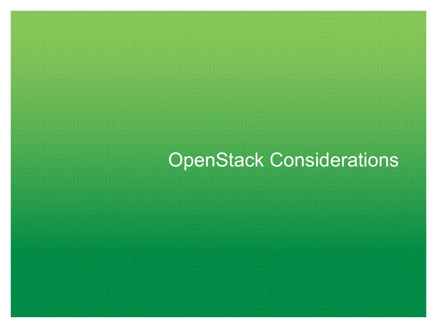# OpenStack Considerations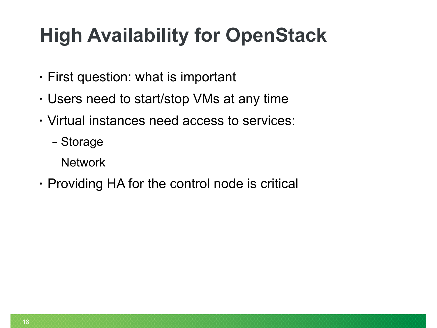# **High Availability for OpenStack**

- First question: what is important
- Users need to start/stop VMs at any time
- Virtual instances need access to services:
	- ‒ Storage
	- ‒ Network
- Providing HA for the control node is critical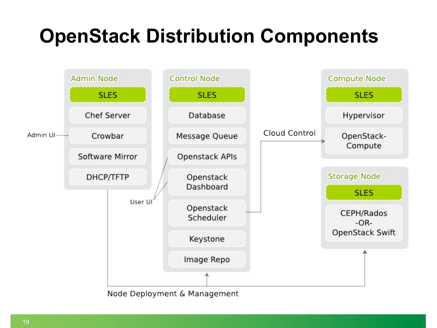# **OpenStack Distribution Components**



Node Deployment & Management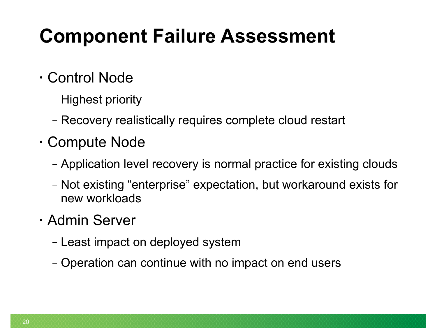# **Component Failure Assessment**

#### • Control Node

- ‒ Highest priority
- ‒ Recovery realistically requires complete cloud restart
- Compute Node
	- ‒ Application level recovery is normal practice for existing clouds
	- ‒ Not existing "enterprise" expectation, but workaround exists for new workloads

#### • Admin Server

- ‒ Least impact on deployed system
- ‒ Operation can continue with no impact on end users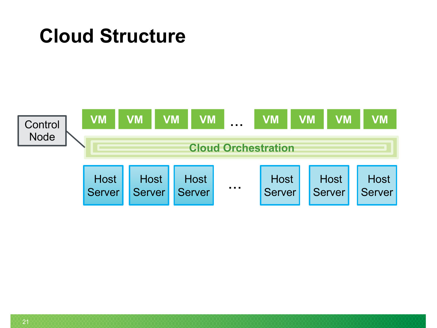#### **Cloud Structure**

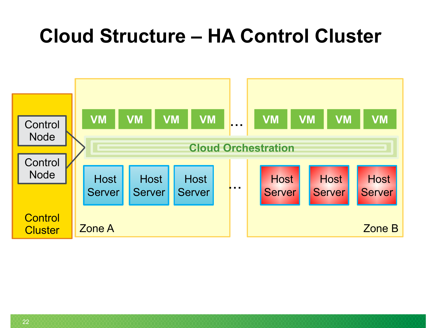#### **Cloud Structure – HA Control Cluster**

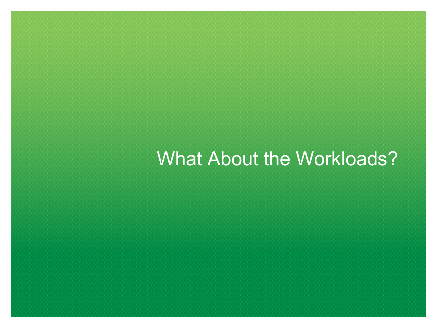## What About the Workloads?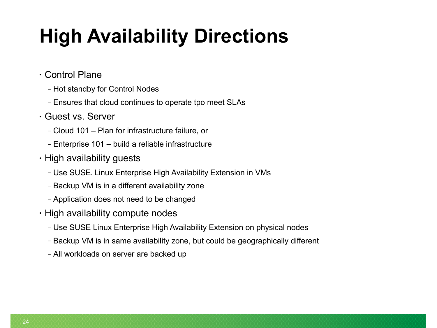# **High Availability Directions**

- Control Plane
	- ‒ Hot standby for Control Nodes
	- ‒ Ensures that cloud continues to operate tpo meet SLAs
- Guest vs. Server
	- ‒ Cloud 101 Plan for infrastructure failure, or
	- ‒ Enterprise 101 build a reliable infrastructure
- High availability guests
	- Use SUSE. Linux Enterprise High Availability Extension in VMs
	- ‒ Backup VM is in a different availability zone
	- ‒ Application does not need to be changed
- High availability compute nodes
	- ‒ Use SUSE Linux Enterprise High Availability Extension on physical nodes
	- ‒ Backup VM is in same availability zone, but could be geographically different
	- ‒ All workloads on server are backed up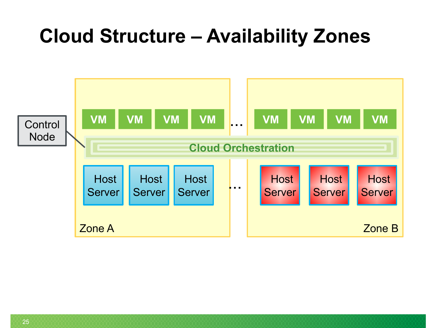## **Cloud Structure – Availability Zones**

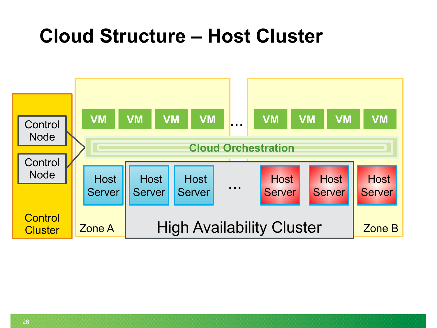#### **Cloud Structure – Host Cluster**

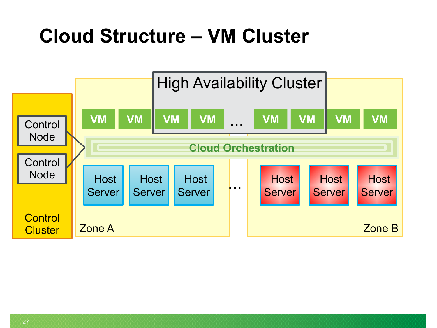# **Cloud Structure – VM Cluster**

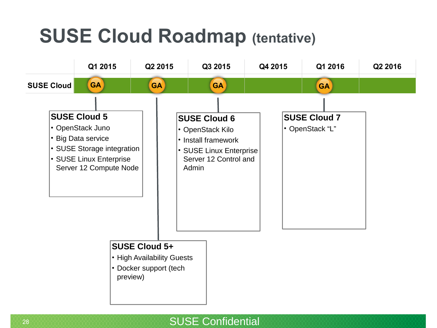# **SUSE Cloud Roadmap (tentative)**

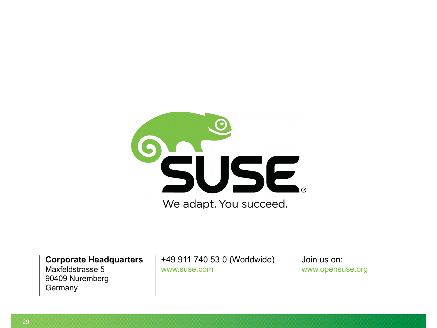

**Corporate Headquarters**

Maxfeldstrasse 5 90409 Nuremberg **Germany** 

+49 911 740 53 0 (Worldwide) www.suse.com

Join us on: [www.opensuse.org](http://www.opensuse.org/)